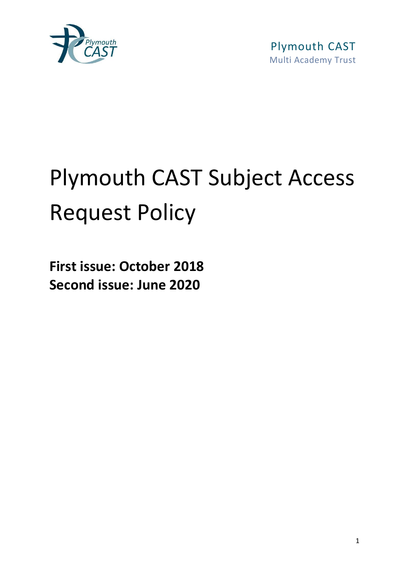

 Plymouth CAST Multi Academy Trust

# Plymouth CAST Subject Access Request Policy

**First issue: October 2018 Second issue: June 2020**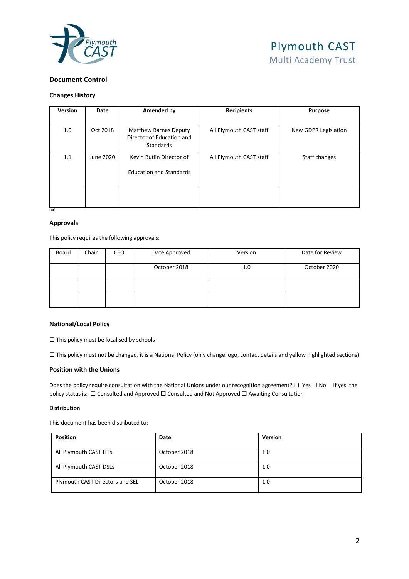

#### **Document Control**

#### **Changes History**

| <b>Version</b> | Date      | Amended by                                                                    | <b>Recipients</b>       | <b>Purpose</b>       |
|----------------|-----------|-------------------------------------------------------------------------------|-------------------------|----------------------|
| 1.0            | Oct 2018  | <b>Matthew Barnes Deputy</b><br>Director of Education and<br><b>Standards</b> | All Plymouth CAST staff | New GDPR Legislation |
| 1.1            | June 2020 | Kevin Butlin Director of<br><b>Education and Standards</b>                    | All Plymouth CAST staff | Staff changes        |
| I ad           |           |                                                                               |                         |                      |

#### **Approvals**

This policy requires the following approvals:

| Board | Chair | <b>CEO</b> | Date Approved | Version | Date for Review |
|-------|-------|------------|---------------|---------|-----------------|
|       |       |            | October 2018  | 1.0     | October 2020    |
|       |       |            |               |         |                 |
|       |       |            |               |         |                 |

#### **National/Local Policy**

□ This policy must be localised by schools

☐ This policy must not be changed, it is a National Policy (only change logo, contact details and yellow highlighted sections)

#### **Position with the Unions**

Does the policy require consultation with the National Unions under our recognition agreement? □ Yes □ No If yes, the policy status is: □ Consulted and Approved □ Consulted and Not Approved □ Awaiting Consultation

#### **Distribution**

This document has been distributed to:

| <b>Position</b>                 | Date         | <b>Version</b> |
|---------------------------------|--------------|----------------|
| All Plymouth CAST HTs           | October 2018 | 1.0            |
| All Plymouth CAST DSLs          | October 2018 | 1.0            |
| Plymouth CAST Directors and SEL | October 2018 | 1.0            |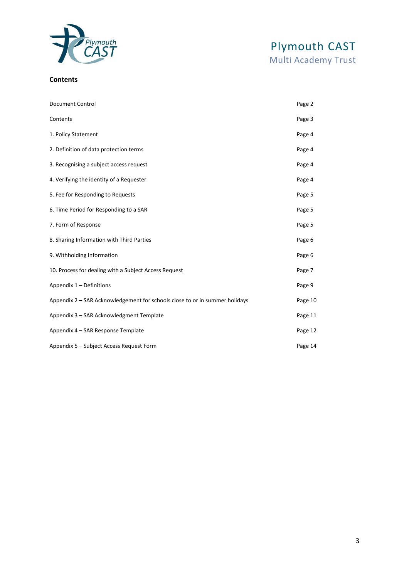

**Contents**

## Plymouth CAST Multi Academy Trust

| <b>Document Control</b>                                                     | Page 2  |
|-----------------------------------------------------------------------------|---------|
| Contents                                                                    | Page 3  |
| 1. Policy Statement                                                         | Page 4  |
| 2. Definition of data protection terms                                      | Page 4  |
| 3. Recognising a subject access request                                     | Page 4  |
| 4. Verifying the identity of a Requester                                    | Page 4  |
| 5. Fee for Responding to Requests                                           | Page 5  |
| 6. Time Period for Responding to a SAR                                      | Page 5  |
| 7. Form of Response                                                         | Page 5  |
| 8. Sharing Information with Third Parties                                   | Page 6  |
| 9. Withholding Information                                                  | Page 6  |
| 10. Process for dealing with a Subject Access Request                       | Page 7  |
| Appendix 1 - Definitions                                                    | Page 9  |
| Appendix 2 - SAR Acknowledgement for schools close to or in summer holidays | Page 10 |
| Appendix 3 - SAR Acknowledgment Template                                    | Page 11 |
| Appendix 4 - SAR Response Template                                          | Page 12 |
| Appendix 5 - Subject Access Request Form                                    | Page 14 |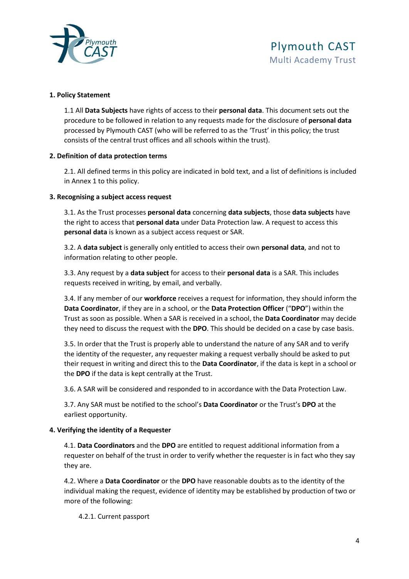

#### **1. Policy Statement**

1.1 All **Data Subjects** have rights of access to their **personal data**. This document sets out the procedure to be followed in relation to any requests made for the disclosure of **personal data** processed by Plymouth CAST (who will be referred to as the 'Trust' in this policy; the trust consists of the central trust offices and all schools within the trust).

#### **2. Definition of data protection terms**

2.1. All defined terms in this policy are indicated in bold text, and a list of definitions is included in Annex 1 to this policy.

#### **3. Recognising a subject access request**

3.1. As the Trust processes **personal data** concerning **data subjects**, those **data subjects** have the right to access that **personal data** under Data Protection law. A request to access this **personal data** is known as a subject access request or SAR.

3.2. A **data subject** is generally only entitled to access their own **personal data**, and not to information relating to other people.

3.3. Any request by a **data subject** for access to their **personal data** is a SAR. This includes requests received in writing, by email, and verbally.

3.4. If any member of our **workforce** receives a request for information, they should inform the **Data Coordinator**, if they are in a school, or the **Data Protection Officer** ("**DPO**") within the Trust as soon as possible. When a SAR is received in a school, the **Data Coordinator** may decide they need to discuss the request with the **DPO**. This should be decided on a case by case basis.

3.5. In order that the Trust is properly able to understand the nature of any SAR and to verify the identity of the requester, any requester making a request verbally should be asked to put their request in writing and direct this to the **Data Coordinator**, if the data is kept in a school or the **DPO** if the data is kept centrally at the Trust.

3.6. A SAR will be considered and responded to in accordance with the Data Protection Law.

3.7. Any SAR must be notified to the school's **Data Coordinator** or the Trust's **DPO** at the earliest opportunity.

#### **4. Verifying the identity of a Requester**

4.1. **Data Coordinators** and the **DPO** are entitled to request additional information from a requester on behalf of the trust in order to verify whether the requester is in fact who they say they are.

4.2. Where a **Data Coordinator** or the **DPO** have reasonable doubts as to the identity of the individual making the request, evidence of identity may be established by production of two or more of the following:

4.2.1. Current passport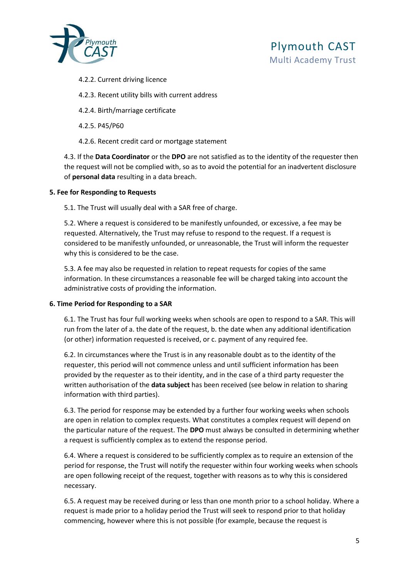

- 4.2.2. Current driving licence
- 4.2.3. Recent utility bills with current address
- 4.2.4. Birth/marriage certificate
- 4.2.5. P45/P60
- 4.2.6. Recent credit card or mortgage statement

4.3. If the **Data Coordinator** or the **DPO** are not satisfied as to the identity of the requester then the request will not be complied with, so as to avoid the potential for an inadvertent disclosure of **personal data** resulting in a data breach.

#### **5. Fee for Responding to Requests**

5.1. The Trust will usually deal with a SAR free of charge.

5.2. Where a request is considered to be manifestly unfounded, or excessive, a fee may be requested. Alternatively, the Trust may refuse to respond to the request. If a request is considered to be manifestly unfounded, or unreasonable, the Trust will inform the requester why this is considered to be the case.

5.3. A fee may also be requested in relation to repeat requests for copies of the same information. In these circumstances a reasonable fee will be charged taking into account the administrative costs of providing the information.

#### **6. Time Period for Responding to a SAR**

6.1. The Trust has four full working weeks when schools are open to respond to a SAR. This will run from the later of a. the date of the request, b. the date when any additional identification (or other) information requested is received, or c. payment of any required fee.

6.2. In circumstances where the Trust is in any reasonable doubt as to the identity of the requester, this period will not commence unless and until sufficient information has been provided by the requester as to their identity, and in the case of a third party requester the written authorisation of the **data subject** has been received (see below in relation to sharing information with third parties).

6.3. The period for response may be extended by a further four working weeks when schools are open in relation to complex requests. What constitutes a complex request will depend on the particular nature of the request. The **DPO** must always be consulted in determining whether a request is sufficiently complex as to extend the response period.

6.4. Where a request is considered to be sufficiently complex as to require an extension of the period for response, the Trust will notify the requester within four working weeks when schools are open following receipt of the request, together with reasons as to why this is considered necessary.

6.5. A request may be received during or less than one month prior to a school holiday. Where a request is made prior to a holiday period the Trust will seek to respond prior to that holiday commencing, however where this is not possible (for example, because the request is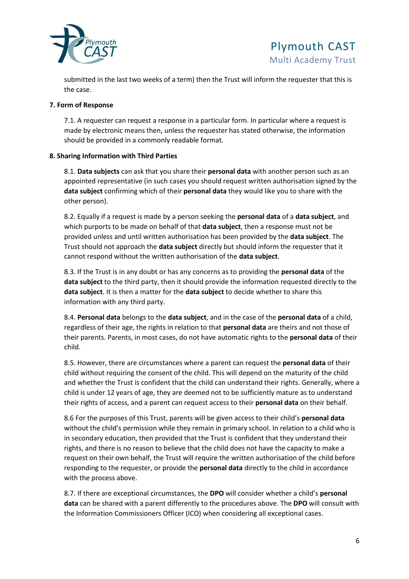

submitted in the last two weeks of a term) then the Trust will inform the requester that this is the case.

#### **7. Form of Response**

7.1. A requester can request a response in a particular form. In particular where a request is made by electronic means then, unless the requester has stated otherwise, the information should be provided in a commonly readable format.

#### **8. Sharing Information with Third Parties**

8.1. **Data subjects** can ask that you share their **personal data** with another person such as an appointed representative (in such cases you should request written authorisation signed by the **data subject** confirming which of their **personal data** they would like you to share with the other person).

8.2. Equally if a request is made by a person seeking the **personal data** of a **data subject**, and which purports to be made on behalf of that **data subject**, then a response must not be provided unless and until written authorisation has been provided by the **data subject**. The Trust should not approach the **data subject** directly but should inform the requester that it cannot respond without the written authorisation of the **data subject**.

8.3. If the Trust is in any doubt or has any concerns as to providing the **personal data** of the **data subject** to the third party, then it should provide the information requested directly to the **data subject**. It is then a matter for the **data subject** to decide whether to share this information with any third party.

8.4. **Personal data** belongs to the **data subject**, and in the case of the **personal data** of a child, regardless of their age, the rights in relation to that **personal data** are theirs and not those of their parents. Parents, in most cases, do not have automatic rights to the **personal data** of their child.

8.5. However, there are circumstances where a parent can request the **personal data** of their child without requiring the consent of the child. This will depend on the maturity of the child and whether the Trust is confident that the child can understand their rights. Generally, where a child is under 12 years of age, they are deemed not to be sufficiently mature as to understand their rights of access, and a parent can request access to their **personal data** on their behalf.

8.6 For the purposes of this Trust, parents will be given access to their child's **personal data** without the child's permission while they remain in primary school. In relation to a child who is in secondary education, then provided that the Trust is confident that they understand their rights, and there is no reason to believe that the child does not have the capacity to make a request on their own behalf, the Trust will require the written authorisation of the child before responding to the requester, or provide the **personal data** directly to the child in accordance with the process above.

8.7. If there are exceptional circumstances, the **DPO** will consider whether a child's **personal data** can be shared with a parent differently to the procedures above. The **DPO** will consult with the Information Commissioners Officer (ICO) when considering all exceptional cases.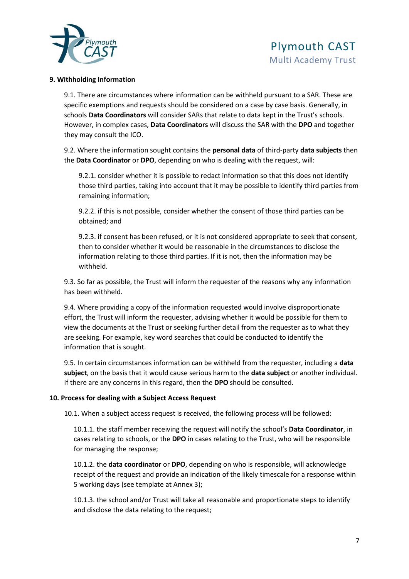

#### **9. Withholding Information**

9.1. There are circumstances where information can be withheld pursuant to a SAR. These are specific exemptions and requests should be considered on a case by case basis. Generally, in schools **Data Coordinators** will consider SARs that relate to data kept in the Trust's schools. However, in complex cases, **Data Coordinators** will discuss the SAR with the **DPO** and together they may consult the ICO.

9.2. Where the information sought contains the **personal data** of third-party **data subjects** then the **Data Coordinator** or **DPO**, depending on who is dealing with the request, will:

9.2.1. consider whether it is possible to redact information so that this does not identify those third parties, taking into account that it may be possible to identify third parties from remaining information;

9.2.2. if this is not possible, consider whether the consent of those third parties can be obtained; and

9.2.3. if consent has been refused, or it is not considered appropriate to seek that consent, then to consider whether it would be reasonable in the circumstances to disclose the information relating to those third parties. If it is not, then the information may be withheld.

9.3. So far as possible, the Trust will inform the requester of the reasons why any information has been withheld.

9.4. Where providing a copy of the information requested would involve disproportionate effort, the Trust will inform the requester, advising whether it would be possible for them to view the documents at the Trust or seeking further detail from the requester as to what they are seeking. For example, key word searches that could be conducted to identify the information that is sought.

9.5. In certain circumstances information can be withheld from the requester, including a **data subject**, on the basis that it would cause serious harm to the **data subject** or another individual. If there are any concerns in this regard, then the **DPO** should be consulted.

#### **10. Process for dealing with a Subject Access Request**

10.1. When a subject access request is received, the following process will be followed:

10.1.1. the staff member receiving the request will notify the school's **Data Coordinator**, in cases relating to schools, or the **DPO** in cases relating to the Trust, who will be responsible for managing the response;

10.1.2. the **data coordinator** or **DPO**, depending on who is responsible, will acknowledge receipt of the request and provide an indication of the likely timescale for a response within 5 working days (see template at Annex 3);

10.1.3. the school and/or Trust will take all reasonable and proportionate steps to identify and disclose the data relating to the request;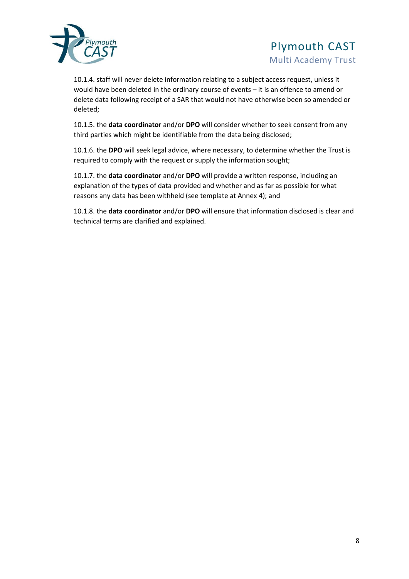

### Plymouth CAST Multi Academy Trust

10.1.4. staff will never delete information relating to a subject access request, unless it would have been deleted in the ordinary course of events – it is an offence to amend or delete data following receipt of a SAR that would not have otherwise been so amended or deleted;

10.1.5. the **data coordinator** and/or **DPO** will consider whether to seek consent from any third parties which might be identifiable from the data being disclosed;

10.1.6. the **DPO** will seek legal advice, where necessary, to determine whether the Trust is required to comply with the request or supply the information sought;

10.1.7. the **data coordinator** and/or **DPO** will provide a written response, including an explanation of the types of data provided and whether and as far as possible for what reasons any data has been withheld (see template at Annex 4); and

10.1.8. the **data coordinator** and/or **DPO** will ensure that information disclosed is clear and technical terms are clarified and explained.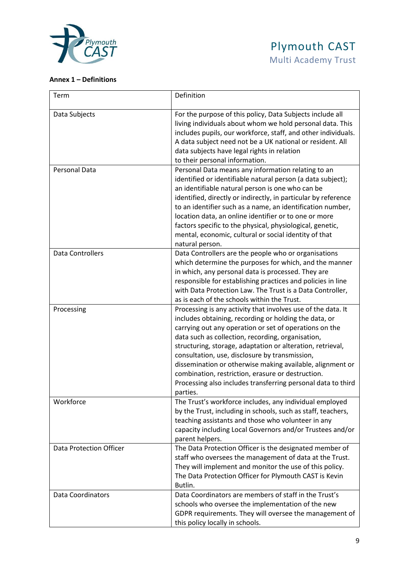

## Plymouth CAST Multi Academy Trust

#### **Annex 1 – Definitions**

| Term                    | Definition                                                                                                                                                                                                                                                                                                                                                                                                                                                                                                                                         |
|-------------------------|----------------------------------------------------------------------------------------------------------------------------------------------------------------------------------------------------------------------------------------------------------------------------------------------------------------------------------------------------------------------------------------------------------------------------------------------------------------------------------------------------------------------------------------------------|
| Data Subjects           | For the purpose of this policy, Data Subjects include all<br>living individuals about whom we hold personal data. This<br>includes pupils, our workforce, staff, and other individuals.<br>A data subject need not be a UK national or resident. All<br>data subjects have legal rights in relation<br>to their personal information.                                                                                                                                                                                                              |
| <b>Personal Data</b>    | Personal Data means any information relating to an<br>identified or identifiable natural person (a data subject);<br>an identifiable natural person is one who can be<br>identified, directly or indirectly, in particular by reference<br>to an identifier such as a name, an identification number,<br>location data, an online identifier or to one or more<br>factors specific to the physical, physiological, genetic,<br>mental, economic, cultural or social identity of that<br>natural person.                                            |
| <b>Data Controllers</b> | Data Controllers are the people who or organisations<br>which determine the purposes for which, and the manner<br>in which, any personal data is processed. They are<br>responsible for establishing practices and policies in line<br>with Data Protection Law. The Trust is a Data Controller,<br>as is each of the schools within the Trust.                                                                                                                                                                                                    |
| Processing              | Processing is any activity that involves use of the data. It<br>includes obtaining, recording or holding the data, or<br>carrying out any operation or set of operations on the<br>data such as collection, recording, organisation,<br>structuring, storage, adaptation or alteration, retrieval,<br>consultation, use, disclosure by transmission,<br>dissemination or otherwise making available, alignment or<br>combination, restriction, erasure or destruction.<br>Processing also includes transferring personal data to third<br>parties. |
| Workforce               | The Trust's workforce includes, any individual employed<br>by the Trust, including in schools, such as staff, teachers,<br>teaching assistants and those who volunteer in any<br>capacity including Local Governors and/or Trustees and/or<br>parent helpers.                                                                                                                                                                                                                                                                                      |
| Data Protection Officer | The Data Protection Officer is the designated member of<br>staff who oversees the management of data at the Trust.<br>They will implement and monitor the use of this policy.<br>The Data Protection Officer for Plymouth CAST is Kevin<br>Butlin.                                                                                                                                                                                                                                                                                                 |
| Data Coordinators       | Data Coordinators are members of staff in the Trust's<br>schools who oversee the implementation of the new<br>GDPR requirements. They will oversee the management of<br>this policy locally in schools.                                                                                                                                                                                                                                                                                                                                            |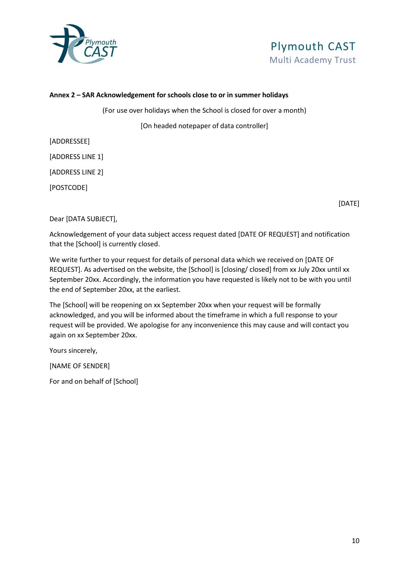



#### **Annex 2 – SAR Acknowledgement for schools close to or in summer holidays**

(For use over holidays when the School is closed for over a month)

[On headed notepaper of data controller]

[ADDRESSEE]

[ADDRESS LINE 1]

[ADDRESS LINE 2]

[POSTCODE]

[DATE]

Dear [DATA SUBJECT],

Acknowledgement of your data subject access request dated [DATE OF REQUEST] and notification that the [School] is currently closed.

We write further to your request for details of personal data which we received on [DATE OF REQUEST]. As advertised on the website, the [School] is [closing/ closed] from xx July 20xx until xx September 20xx. Accordingly, the information you have requested is likely not to be with you until the end of September 20xx, at the earliest.

The [School] will be reopening on xx September 20xx when your request will be formally acknowledged, and you will be informed about the timeframe in which a full response to your request will be provided. We apologise for any inconvenience this may cause and will contact you again on xx September 20xx.

Yours sincerely,

[NAME OF SENDER]

For and on behalf of [School]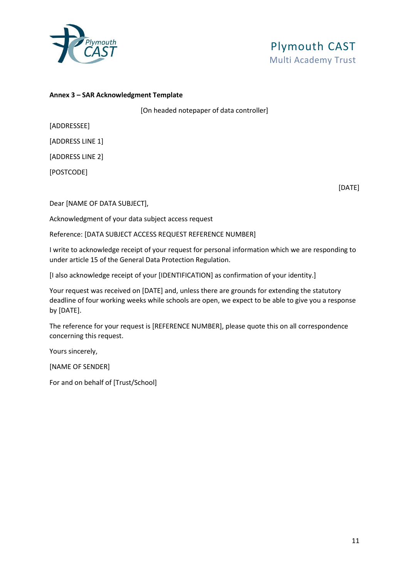



#### **Annex 3 – SAR Acknowledgment Template**

[On headed notepaper of data controller]

[ADDRESSEE]

[ADDRESS LINE 1]

[ADDRESS LINE 2]

[POSTCODE]

[DATE]

Dear [NAME OF DATA SUBJECT],

Acknowledgment of your data subject access request

Reference: [DATA SUBJECT ACCESS REQUEST REFERENCE NUMBER]

I write to acknowledge receipt of your request for personal information which we are responding to under article 15 of the General Data Protection Regulation.

[I also acknowledge receipt of your [IDENTIFICATION] as confirmation of your identity.]

Your request was received on [DATE] and, unless there are grounds for extending the statutory deadline of four working weeks while schools are open, we expect to be able to give you a response by [DATE].

The reference for your request is [REFERENCE NUMBER], please quote this on all correspondence concerning this request.

Yours sincerely,

[NAME OF SENDER]

For and on behalf of [Trust/School]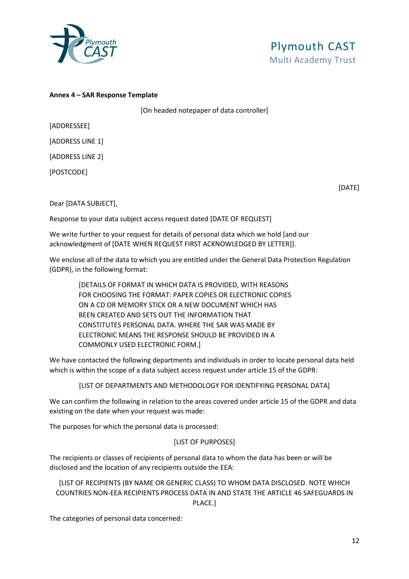



#### **Annex 4 – SAR Response Template**

[On headed notepaper of data controller]

[ADDRESSEE]

[ADDRESS LINE 1]

[ADDRESS LINE 2]

[POSTCODE]

[DATE]

Dear [DATA SUBJECT],

Response to your data subject access request dated [DATE OF REQUEST]

We write further to your request for details of personal data which we hold [and our acknowledgment of [DATE WHEN REQUEST FIRST ACKNOWLEDGED BY LETTER]].

We enclose all of the data to which you are entitled under the General Data Protection Regulation (GDPR), in the following format:

[DETAILS OF FORMAT IN WHICH DATA IS PROVIDED, WITH REASONS FOR CHOOSING THE FORMAT: PAPER COPIES OR ELECTRONIC COPIES ON A CD OR MEMORY STICK OR A NEW DOCUMENT WHICH HAS BEEN CREATED AND SETS OUT THE INFORMATION THAT CONSTITUTES PERSONAL DATA. WHERE THE SAR WAS MADE BY ELECTRONIC MEANS THE RESPONSE SHOULD BE PROVIDED IN A COMMONLY USED ELECTRONIC FORM.]

We have contacted the following departments and individuals in order to locate personal data held which is within the scope of a data subject access request under article 15 of the GDPR:

[LIST OF DEPARTMENTS AND METHODOLOGY FOR IDENTIFYING PERSONAL DATA]

We can confirm the following in relation to the areas covered under article 15 of the GDPR and data existing on the date when your request was made:

The purposes for which the personal data is processed:

#### [LIST OF PURPOSES]

The recipients or classes of recipients of personal data to whom the data has been or will be disclosed and the location of any recipients outside the EEA:

[LIST OF RECIPIENTS (BY NAME OR GENERIC CLASS) TO WHOM DATA DISCLOSED. NOTE WHICH COUNTRIES NON-EEA RECIPIENTS PROCESS DATA IN AND STATE THE ARTICLE 46 SAFEGUARDS IN PLACE.]

The categories of personal data concerned: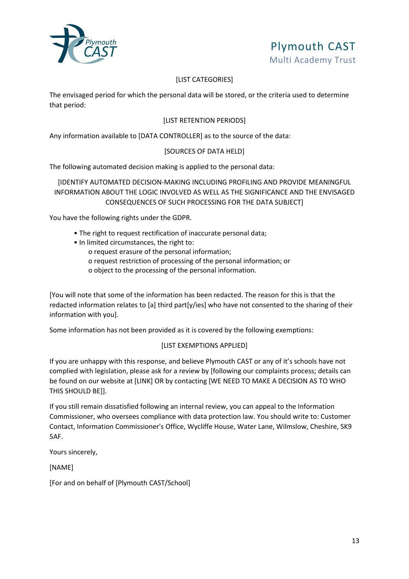



#### [LIST CATEGORIES]

The envisaged period for which the personal data will be stored, or the criteria used to determine that period:

#### [LIST RETENTION PERIODS]

Any information available to [DATA CONTROLLER] as to the source of the data:

#### [SOURCES OF DATA HELD]

The following automated decision making is applied to the personal data:

#### [IDENTIFY AUTOMATED DECISION-MAKING INCLUDING PROFILING AND PROVIDE MEANINGFUL INFORMATION ABOUT THE LOGIC INVOLVED AS WELL AS THE SIGNIFICANCE AND THE ENVISAGED CONSEQUENCES OF SUCH PROCESSING FOR THE DATA SUBJECT]

You have the following rights under the GDPR.

- The right to request rectification of inaccurate personal data;
- In limited circumstances, the right to:
	- o request erasure of the personal information;
	- o request restriction of processing of the personal information; or
	- o object to the processing of the personal information.

[You will note that some of the information has been redacted. The reason for this is that the redacted information relates to [a] third part[y/ies] who have not consented to the sharing of their information with you].

Some information has not been provided as it is covered by the following exemptions:

#### [LIST EXEMPTIONS APPLIED]

If you are unhappy with this response, and believe Plymouth CAST or any of it's schools have not complied with legislation, please ask for a review by [following our complaints process; details can be found on our website at [LINK] OR by contacting [WE NEED TO MAKE A DECISION AS TO WHO THIS SHOULD BE]].

If you still remain dissatisfied following an internal review, you can appeal to the Information Commissioner, who oversees compliance with data protection law. You should write to: Customer Contact, Information Commissioner's Office, Wycliffe House, Water Lane, Wilmslow, Cheshire, SK9 5AF.

Yours sincerely,

[NAME]

[For and on behalf of [Plymouth CAST/School]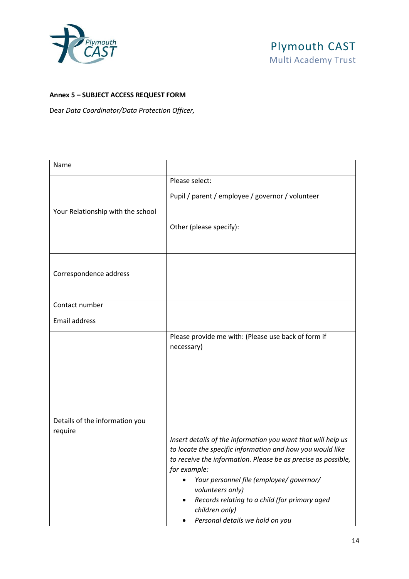

#### **Annex 5 – SUBJECT ACCESS REQUEST FORM**

Dear *Data Coordinator/Data Protection Officer,*

| Name                                      |                                                                                                                                                                                                                                                                                                                                                                                                                                                                    |
|-------------------------------------------|--------------------------------------------------------------------------------------------------------------------------------------------------------------------------------------------------------------------------------------------------------------------------------------------------------------------------------------------------------------------------------------------------------------------------------------------------------------------|
| Your Relationship with the school         | Please select:<br>Pupil / parent / employee / governor / volunteer<br>Other (please specify):                                                                                                                                                                                                                                                                                                                                                                      |
| Correspondence address                    |                                                                                                                                                                                                                                                                                                                                                                                                                                                                    |
| Contact number                            |                                                                                                                                                                                                                                                                                                                                                                                                                                                                    |
| Email address                             |                                                                                                                                                                                                                                                                                                                                                                                                                                                                    |
| Details of the information you<br>require | Please provide me with: (Please use back of form if<br>necessary)<br>Insert details of the information you want that will help us<br>to locate the specific information and how you would like<br>to receive the information. Please be as precise as possible,<br>for example:<br>Your personnel file (employee/ governor/<br>volunteers only)<br>Records relating to a child (for primary aged<br>$\bullet$<br>children only)<br>Personal details we hold on you |